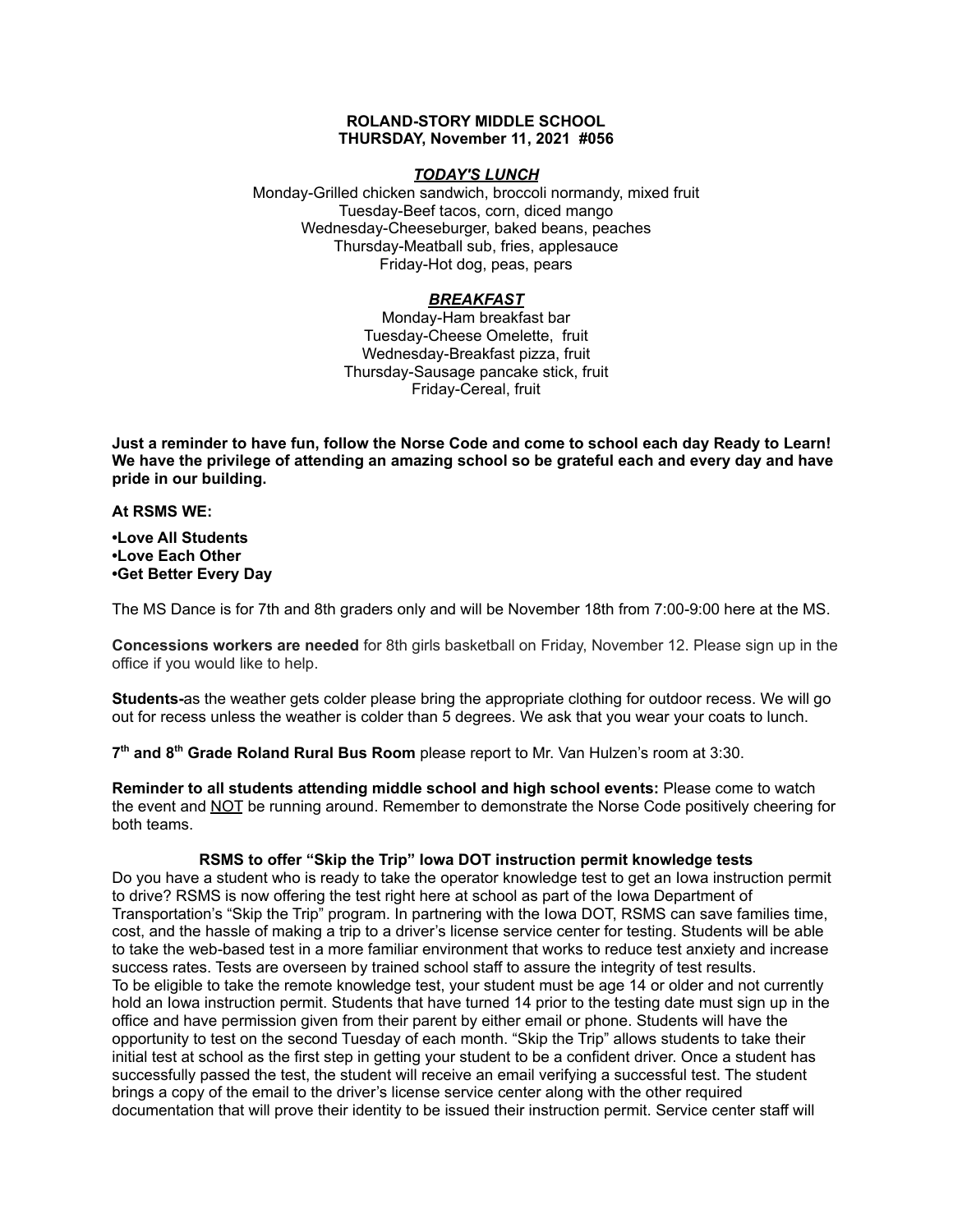#### **ROLAND-STORY MIDDLE SCHOOL THURSDAY, November 11, 2021 #056**

# *TODAY'S LUNCH*

Monday-Grilled chicken sandwich, broccoli normandy, mixed fruit Tuesday-Beef tacos, corn, diced mango Wednesday-Cheeseburger, baked beans, peaches Thursday-Meatball sub, fries, applesauce Friday-Hot dog, peas, pears

# *BREAKFAST*

Monday-Ham breakfast bar Tuesday-Cheese Omelette, fruit Wednesday-Breakfast pizza, fruit Thursday-Sausage pancake stick, fruit Friday-Cereal, fruit

Just a reminder to have fun, follow the Norse Code and come to school each day Ready to Learn! **We have the privilege of attending an amazing school so be grateful each and every day and have pride in our building.**

**At RSMS WE:**

**•Love All Students •Love Each Other •Get Better Every Day**

The MS Dance is for 7th and 8th graders only and will be November 18th from 7:00-9:00 here at the MS.

**Concessions workers are needed** for 8th girls basketball on Friday, November 12. Please sign up in the office if you would like to help.

**Students-**as the weather gets colder please bring the appropriate clothing for outdoor recess. We will go out for recess unless the weather is colder than 5 degrees. We ask that you wear your coats to lunch.

**7 th and 8 th Grade Roland Rural Bus Room** please report to Mr. Van Hulzen's room at 3:30.

**Reminder to all students attending middle school and high school events:** Please come to watch the event and NOT be running around. Remember to demonstrate the Norse Code positively cheering for both teams.

# **RSMS to offer "Skip the Trip" Iowa DOT instruction permit knowledge tests**

Do you have a student who is ready to take the operator knowledge test to get an Iowa instruction permit to drive? RSMS is now offering the test right here at school as part of the Iowa Department of Transportation's "Skip the Trip" program. In partnering with the Iowa DOT, RSMS can save families time, cost, and the hassle of making a trip to a driver's license service center for testing. Students will be able to take the web-based test in a more familiar environment that works to reduce test anxiety and increase success rates. Tests are overseen by trained school staff to assure the integrity of test results. To be eligible to take the remote knowledge test, your student must be age 14 or older and not currently hold an Iowa instruction permit. Students that have turned 14 prior to the testing date must sign up in the office and have permission given from their parent by either email or phone. Students will have the opportunity to test on the second Tuesday of each month. "Skip the Trip" allows students to take their initial test at school as the first step in getting your student to be a confident driver. Once a student has successfully passed the test, the student will receive an email verifying a successful test. The student brings a copy of the email to the driver's license service center along with the other required documentation that will prove their identity to be issued their instruction permit. Service center staff will